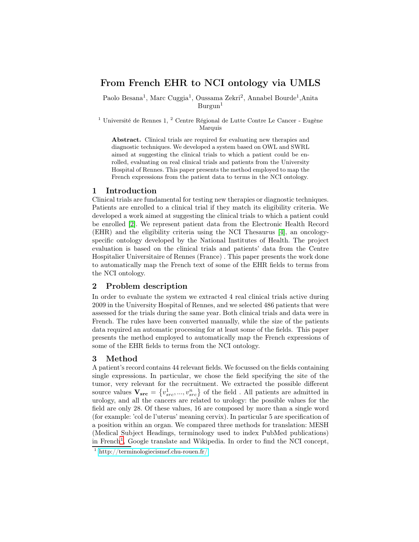# From French EHR to NCI ontology via UMLS

Paolo Besana<sup>1</sup>, Marc Cuggia<sup>1</sup>, Oussama Zekri<sup>2</sup>, Annabel Bourde<sup>1</sup>, Anita  $Burgun<sup>1</sup>$ 

 $^1$ Université de Rennes 1, $^2$  Centre Régional de Lutte Contre Le Cancer - Eugène Marquis

Abstract. Clinical trials are required for evaluating new therapies and diagnostic techniques. We developed a system based on OWL and SWRL aimed at suggesting the clinical trials to which a patient could be enrolled, evaluating on real clinical trials and patients from the University Hospital of Rennes. This paper presents the method employed to map the French expressions from the patient data to terms in the NCI ontology.

#### 1 Introduction

Clinical trials are fundamental for testing new therapies or diagnostic techniques. Patients are enrolled to a clinical trial if they match its eligibility criteria. We developed a work aimed at suggesting the clinical trials to which a patient could be enrolled [\[2\]](#page-1-0). We represent patient data from the Electronic Health Record (EHR) and the eligibility criteria using the NCI Thesaurus [\[4\]](#page-1-1), an oncologyspecific ontology developed by the National Institutes of Health. The project evaluation is based on the clinical trials and patients' data from the Centre Hospitalier Universitaire of Rennes (France) . This paper presents the work done to automatically map the French text of some of the EHR fields to terms from the NCI ontology.

## 2 Problem description

In order to evaluate the system we extracted 4 real clinical trials active during 2009 in the University Hospital of Rennes, and we selected 486 patients that were assessed for the trials during the same year. Both clinical trials and data were in French. The rules have been converted manually, while the size of the patients data required an automatic processing for at least some of the fields. This paper presents the method employed to automatically map the French expressions of some of the EHR fields to terms from the NCI ontology.

#### 3 Method

A patient's record contains 44 relevant fields. We focussed on the fields containing single expressions. In particular, we chose the field specifying the site of the tumor, very relevant for the recruitment. We extracted the possible different source values  $\mathbf{V_{src}} = \{v_{src}^1, ..., v_{src}^n\}$  of the field . All patients are admitted in urology, and all the cancers are related to urology: the possible values for the field are only 28. Of these values, 16 are composed by more than a single word (for example: 'col de l'uterus' meaning cervix). In particular 5 are specification of a position within an organ. We compared three methods for translation: MESH (Medical Subject Headings, terminology used to index PubMed publications) in French<sup>[1](#page-0-0)</sup>, Google translate and Wikipedia. In order to find the NCI concept,

<span id="page-0-0"></span><sup>1</sup> <http://terminologiecismef.chu-rouen.fr/>